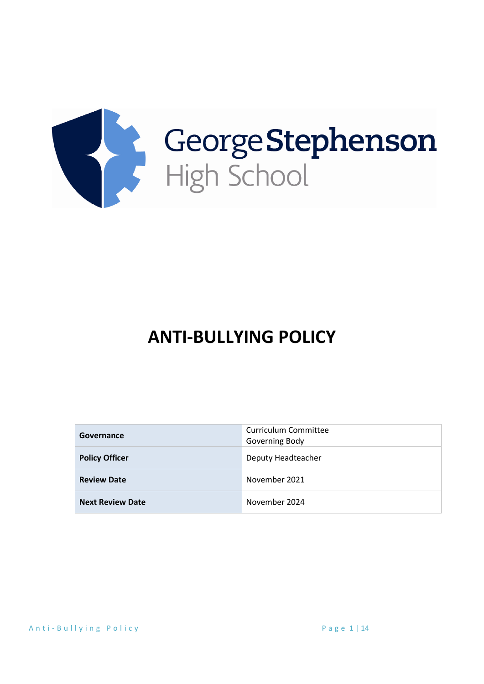

# **ANTI-BULLYING POLICY**

| Governance              | Curriculum Committee<br>Governing Body |
|-------------------------|----------------------------------------|
| <b>Policy Officer</b>   | Deputy Headteacher                     |
| <b>Review Date</b>      | November 2021                          |
| <b>Next Review Date</b> | November 2024                          |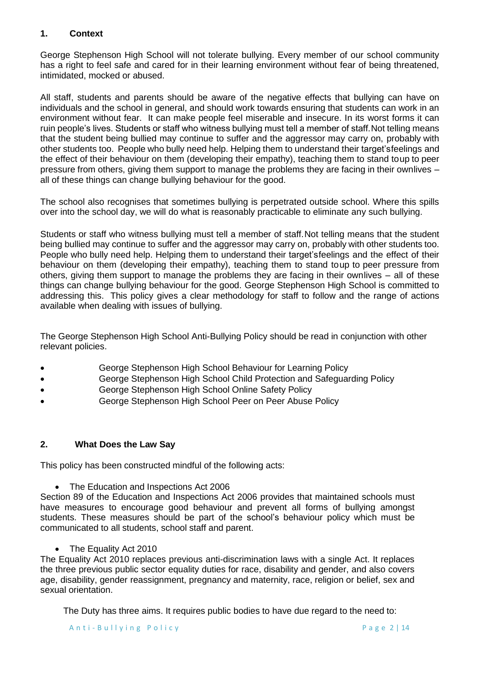# **1. Context**

George Stephenson High School will not tolerate bullying. Every member of our school community has a right to feel safe and cared for in their learning environment without fear of being threatened, intimidated, mocked or abused.

All staff, students and parents should be aware of the negative effects that bullying can have on individuals and the school in general, and should work towards ensuring that students can work in an environment without fear. It can make people feel miserable and insecure. In its worst forms it can ruin people's lives. Students or staff who witness bullying must tell a member of staff.Not telling means that the student being bullied may continue to suffer and the aggressor may carry on, probably with other students too. People who bully need help. Helping them to understand their target'sfeelings and the effect of their behaviour on them (developing their empathy), teaching them to stand toup to peer pressure from others, giving them support to manage the problems they are facing in their ownlives – all of these things can change bullying behaviour for the good.

The school also recognises that sometimes bullying is perpetrated outside school. Where this spills over into the school day, we will do what is reasonably practicable to eliminate any such bullying.

Students or staff who witness bullying must tell a member of staff.Not telling means that the student being bullied may continue to suffer and the aggressor may carry on, probably with other students too. People who bully need help. Helping them to understand their target'sfeelings and the effect of their behaviour on them (developing their empathy), teaching them to stand toup to peer pressure from others, giving them support to manage the problems they are facing in their ownlives – all of these things can change bullying behaviour for the good. George Stephenson High School is committed to addressing this. This policy gives a clear methodology for staff to follow and the range of actions available when dealing with issues of bullying.

The George Stephenson High School Anti-Bullying Policy should be read in conjunction with other relevant policies.

- George Stephenson High School Behaviour for Learning Policy
- George Stephenson High School Child Protection and Safeguarding Policy
- George Stephenson High School Online Safety Policy
- George Stephenson High School Peer on Peer Abuse Policy

### **2. What Does the Law Say**

This policy has been constructed mindful of the following acts:

• The Education and Inspections Act 2006

Section 89 of the Education and Inspections Act 2006 provides that maintained schools must have measures to encourage good behaviour and prevent all forms of bullying amongst students. These measures should be part of the school's behaviour policy which must be communicated to all students, school staff and parent.

• The Equality Act 2010

The Equality Act 2010 replaces previous anti-discrimination laws with a single Act. It replaces the three previous public sector equality duties for race, disability and gender, and also covers age, disability, gender reassignment, pregnancy and maternity, race, religion or belief, sex and sexual orientation.

The Duty has three aims. It requires public bodies to have due regard to the need to: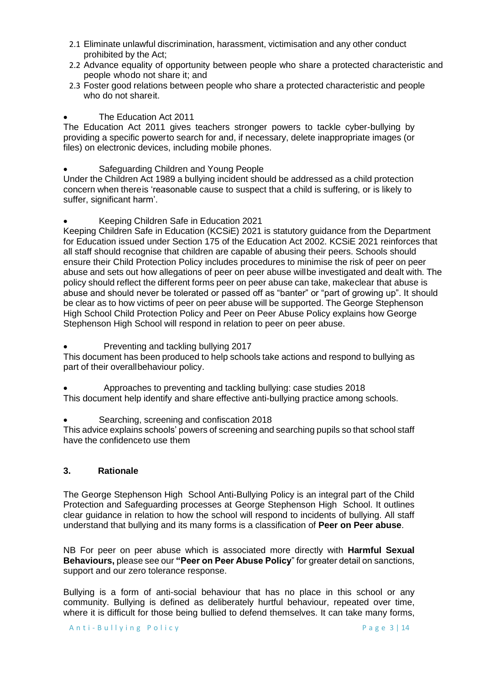- 2.1 Eliminate unlawful discrimination, harassment, victimisation and any other conduct prohibited by the Act;
- 2.2 Advance equality of opportunity between people who share a protected characteristic and people whodo not share it; and
- 2.3 Foster good relations between people who share a protected characteristic and people who do not shareit.

#### • The Education Act 2011

The Education Act 2011 gives teachers stronger powers to tackle cyber-bullying by providing a specific powerto search for and, if necessary, delete inappropriate images (or files) on electronic devices, including mobile phones.

• Safeguarding Children and Young People

Under the Children Act 1989 a bullying incident should be addressed as a child protection concern when thereis 'reasonable cause to suspect that a child is suffering, or is likely to suffer, significant harm'.

#### • Keeping Children Safe in Education 2021

Keeping Children Safe in Education (KCSiE) 2021 is statutory guidance from the Department for Education issued under Section 175 of the Education Act 2002. KCSiE 2021 reinforces that all staff should recognise that children are capable of abusing their peers. Schools should ensure their Child Protection Policy includes procedures to minimise the risk of peer on peer abuse and sets out how allegations of peer on peer abuse willbe investigated and dealt with. The policy should reflect the different forms peer on peer abuse can take, makeclear that abuse is abuse and should never be tolerated or passed off as "banter" or "part of growing up". It should be clear as to how victims of peer on peer abuse will be supported. The George Stephenson High School Child Protection Policy and Peer on Peer Abuse Policy explains how George Stephenson High School will respond in relation to peer on peer abuse.

• Preventing and tackling bullying 2017

This document has been produced to help schools take actions and respond to bullying as part of their overallbehaviour policy.

- Approaches to preventing and tackling bullying: case studies 2018 This document help identify and share effective anti-bullying practice among schools.
- Searching, screening and confiscation 2018

This advice explains schools' powers of screening and searching pupils so that school staff have the confidenceto use them

#### **3. Rationale**

The George Stephenson High School Anti-Bullying Policy is an integral part of the Child Protection and Safeguarding processes at George Stephenson High School. It outlines clear guidance in relation to how the school will respond to incidents of bullying. All staff understand that bullying and its many forms is a classification of **Peer on Peer abuse**.

NB For peer on peer abuse which is associated more directly with **Harmful Sexual Behaviours,** please see our **"Peer on Peer Abuse Policy**" for greater detail on sanctions, support and our zero tolerance response.

Bullying is a form of anti-social behaviour that has no place in this school or any community. Bullying is defined as deliberately hurtful behaviour, repeated over time, where it is difficult for those being bullied to defend themselves. It can take many forms,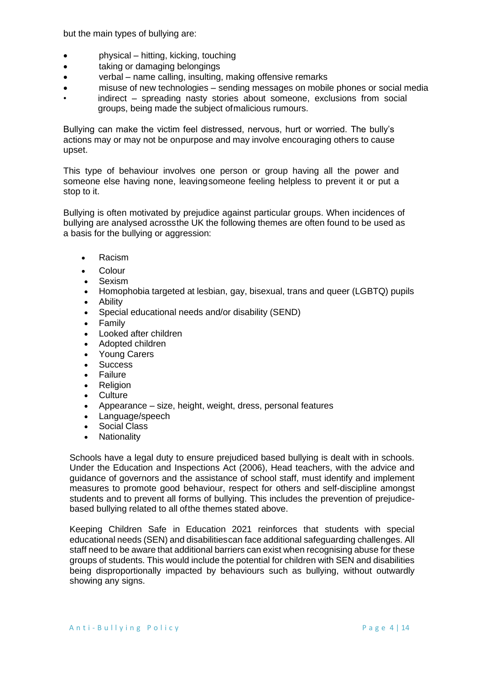but the main types of bullying are:

- physical hitting, kicking, touching
- taking or damaging belongings
- verbal name calling, insulting, making offensive remarks
- misuse of new technologies sending messages on mobile phones or social media
- indirect spreading nasty stories about someone, exclusions from social groups, being made the subject ofmalicious rumours.

Bullying can make the victim feel distressed, nervous, hurt or worried. The bully's actions may or may not be onpurpose and may involve encouraging others to cause upset.

This type of behaviour involves one person or group having all the power and someone else having none, leavingsomeone feeling helpless to prevent it or put a stop to it.

Bullying is often motivated by prejudice against particular groups. When incidences of bullying are analysed acrossthe UK the following themes are often found to be used as a basis for the bullying or aggression:

- [Racism](http://www.dfes.gov.uk/bullying/)
- Colour
- Sexism
- Homophobia targeted at lesbian, gay, bisexual, trans and queer (LGBTQ) pupils
- Ability
- Special educational needs and/or disability (SEND)
- Family
- Looked after children
- Adopted children
- Young Carers
- Success
- Failure
- Religion
- Culture
- Appearance size, height, weight, dress, personal features
- Language/speech
- Social Class
- Nationality

Schools have a legal duty to ensure prejudiced based bullying is dealt with in schools. Under the Education and Inspections Act (2006), Head teachers, with the advice and guidance of governors and the assistance of school staff, must identify and implement measures to promote good behaviour, respect for others and self-discipline amongst students and to prevent all forms of bullying. This includes the prevention of prejudicebased bullying related to all ofthe themes stated above.

Keeping Children Safe in Education 2021 reinforces that students with special educational needs (SEN) and disabilitiescan face additional safeguarding challenges. All staff need to be aware that additional barriers can exist when recognising abuse for these groups of students. This would include the potential for children with SEN and disabilities being disproportionally impacted by behaviours such as bullying, without outwardly showing any signs.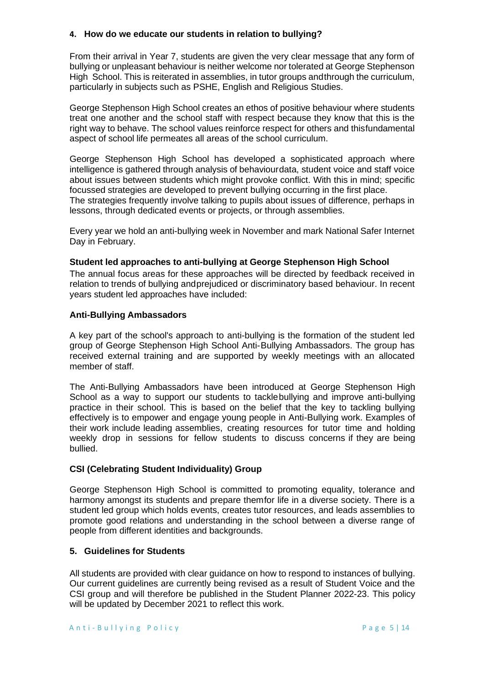#### **4. How do we educate our students in relation to bullying?**

From their arrival in Year 7, students are given the very clear message that any form of bullying or unpleasant behaviour is neither welcome nor tolerated at George Stephenson High School. This is reiterated in assemblies, in tutor groups andthrough the curriculum, particularly in subjects such as PSHE, English and Religious Studies.

George Stephenson High School creates an ethos of positive behaviour where students treat one another and the school staff with respect because they know that this is the right way to behave. The school values reinforce respect for others and thisfundamental aspect of school life permeates all areas of the school curriculum.

George Stephenson High School has developed a sophisticated approach where intelligence is gathered through analysis of behaviourdata, student voice and staff voice about issues between students which might provoke conflict. With this in mind; specific focussed strategies are developed to prevent bullying occurring in the first place. The strategies frequently involve talking to pupils about issues of difference, perhaps in lessons, through dedicated events or projects, or through assemblies.

Every year we hold an anti-bullying week in November and mark National Safer Internet Day in February.

#### **Student led approaches to anti-bullying at George Stephenson High School**

The annual focus areas for these approaches will be directed by feedback received in relation to trends of bullying andprejudiced or discriminatory based behaviour. In recent years student led approaches have included:

#### **Anti-Bullying Ambassadors**

A key part of the school's approach to anti-bullying is the formation of the student led group of George Stephenson High School Anti-Bullying Ambassadors. The group has received external training and are supported by weekly meetings with an allocated member of staff.

The Anti-Bullying Ambassadors have been introduced at George Stephenson High School as a way to support our students to tacklebullying and improve anti-bullying practice in their school. This is based on the belief that the key to tackling bullying effectively is to empower and engage young people in Anti-Bullying work. Examples of their work include leading assemblies, creating resources for tutor time and holding weekly drop in sessions for fellow students to discuss concerns if they are being bullied.

### **CSI (Celebrating Student Individuality) Group**

George Stephenson High School is committed to promoting equality, tolerance and harmony amongst its students and prepare themfor life in a diverse society. There is a student led group which holds events, creates tutor resources, and leads assemblies to promote good relations and understanding in the school between a diverse range of people from different identities and backgrounds.

### **5. Guidelines for Students**

All students are provided with clear guidance on how to respond to instances of bullying. Our current guidelines are currently being revised as a result of Student Voice and the CSI group and will therefore be published in the Student Planner 2022-23. This policy will be updated by December 2021 to reflect this work.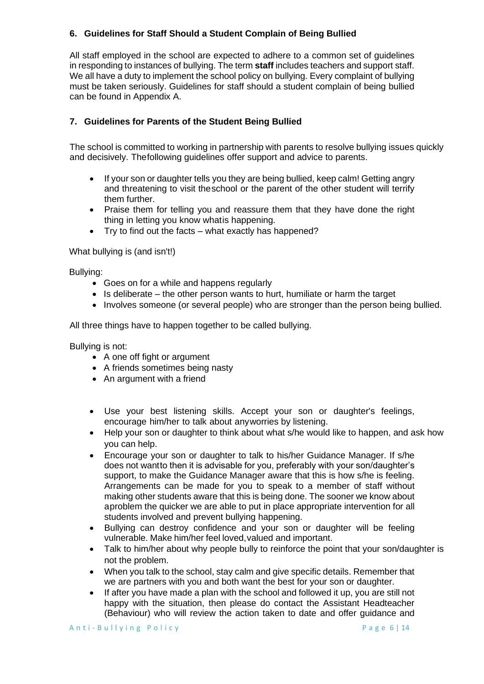# **6. Guidelines for Staff Should a Student Complain of Being Bullied**

All staff employed in the school are expected to adhere to a common set of guidelines in responding to instances of bullying. The term **staff** includes teachers and support staff. We all have a duty to implement the school policy on bullying. Every complaint of bullying must be taken seriously. Guidelines for staff should a student complain of being bullied can be found in Appendix A.

# **7. Guidelines for Parents of the Student Being Bullied**

The school is committed to working in partnership with parents to resolve bullying issues quickly and decisively. Thefollowing guidelines offer support and advice to parents.

- If your son or daughter tells you they are being bullied, keep calm! Getting angry and threatening to visit theschool or the parent of the other student will terrify them further.
- Praise them for telling you and reassure them that they have done the right thing in letting you know whatis happening.
- Try to find out the facts what exactly has happened?

#### What bullying is (and isn't!)

Bullying:

- Goes on for a while and happens regularly
- Is deliberate the other person wants to hurt, humiliate or harm the target
- Involves someone (or several people) who are stronger than the person being bullied.

All three things have to happen together to be called bullying.

Bullying is not:

- A one off fight or argument
- A friends sometimes being nasty
- An argument with a friend
- Use your best listening skills. Accept your son or daughter's feelings, encourage him/her to talk about anyworries by listening.
- Help your son or daughter to think about what s/he would like to happen, and ask how you can help.
- Encourage your son or daughter to talk to his/her Guidance Manager. If s/he does not wantto then it is advisable for you, preferably with your son/daughter's support, to make the Guidance Manager aware that this is how s/he is feeling. Arrangements can be made for you to speak to a member of staff without making other students aware that this is being done. The sooner we know about aproblem the quicker we are able to put in place appropriate intervention for all students involved and prevent bullying happening.
- Bullying can destroy confidence and your son or daughter will be feeling vulnerable. Make him/her feel loved,valued and important.
- Talk to him/her about why people bully to reinforce the point that your son/daughter is not the problem.
- When you talk to the school, stay calm and give specific details. Remember that we are partners with you and both want the best for your son or daughter.
- If after you have made a plan with the school and followed it up, you are still not happy with the situation, then please do contact the Assistant Headteacher (Behaviour) who will review the action taken to date and offer guidance and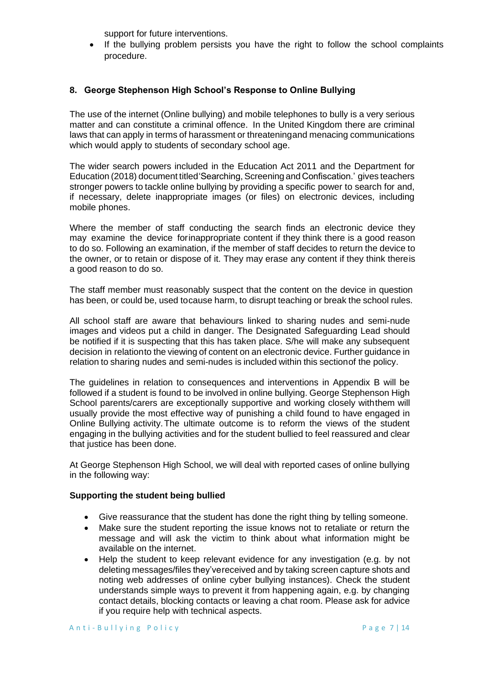support for future interventions.

• If the bullying problem persists you have the right to follow the school complaints procedure.

# **8. George Stephenson High School's Response to Online Bullying**

The use of the internet (Online bullying) and mobile telephones to bully is a very serious matter and can constitute a criminal offence. In the United Kingdom there are criminal laws that can apply in terms of harassment or threateningand menacing communications which would apply to students of secondary school age.

The wider search powers included in the Education Act 2011 and the Department for Education (2018) document titled'Searching, Screening and Confiscation.' gives teachers stronger powers to tackle online bullying by providing a specific power to search for and, if necessary, delete inappropriate images (or files) on electronic devices, including mobile phones.

Where the member of staff conducting the search finds an electronic device they may examine the device forinappropriate content if they think there is a good reason to do so. Following an examination, if the member of staff decides to return the device to the owner, or to retain or dispose of it. They may erase any content if they think thereis a good reason to do so.

The staff member must reasonably suspect that the content on the device in question has been, or could be, used tocause harm, to disrupt teaching or break the school rules.

All school staff are aware that behaviours linked to sharing nudes and semi-nude images and videos put a child in danger. The Designated Safeguarding Lead should be notified if it is suspecting that this has taken place. S/he will make any subsequent decision in relationto the viewing of content on an electronic device. Further guidance in relation to sharing nudes and semi-nudes is included within this sectionof the policy.

The guidelines in relation to consequences and interventions in Appendix B will be followed if a student is found to be involved in online bullying. George Stephenson High School parents/carers are exceptionally supportive and working closely withthem will usually provide the most effective way of punishing a child found to have engaged in Online Bullying activity.The ultimate outcome is to reform the views of the student engaging in the bullying activities and for the student bullied to feel reassured and clear that justice has been done.

At George Stephenson High School, we will deal with reported cases of online bullying in the following way:

### **Supporting the student being bullied**

- Give reassurance that the student has done the right thing by telling someone.
- Make sure the student reporting the issue knows not to retaliate or return the message and will ask the victim to think about what information might be available on the internet.
- Help the student to keep relevant evidence for any investigation (e.g. by not deleting messages/files they'vereceived and by taking screen capture shots and noting web addresses of online cyber bullying instances). Check the student understands simple ways to prevent it from happening again, e.g. by changing contact details, blocking contacts or leaving a chat room. Please ask for advice if you require help with technical aspects.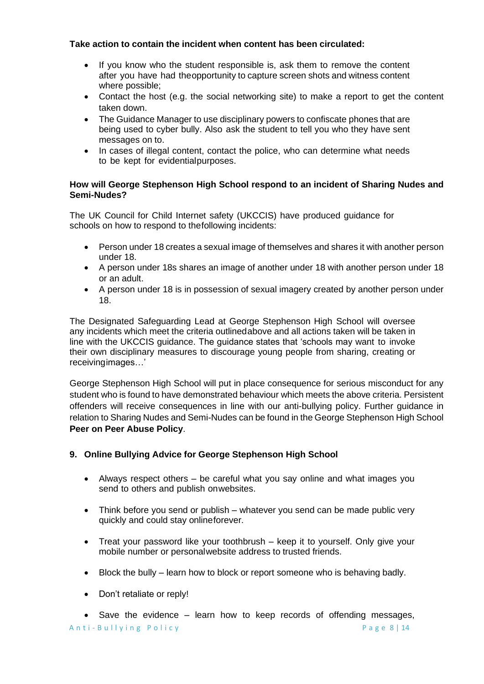# **Take action to contain the incident when content has been circulated:**

- If you know who the student responsible is, ask them to remove the content after you have had theopportunity to capture screen shots and witness content where possible;
- Contact the host (e.g. the social networking site) to make a report to get the content taken down.
- The Guidance Manager to use disciplinary powers to confiscate phones that are being used to cyber bully. Also ask the student to tell you who they have sent messages on to.
- In cases of illegal content, contact the police, who can determine what needs to be kept for evidentialpurposes.

### **How will George Stephenson High School respond to an incident of Sharing Nudes and Semi-Nudes?**

The UK Council for Child Internet safety (UKCCIS) have produced guidance for schools on how to respond to thefollowing incidents:

- Person under 18 creates a sexual image of themselves and shares it with another person under 18.
- A person under 18s shares an image of another under 18 with another person under 18 or an adult.
- A person under 18 is in possession of sexual imagery created by another person under 18.

The Designated Safeguarding Lead at George Stephenson High School will oversee any incidents which meet the criteria outlinedabove and all actions taken will be taken in line with the UKCCIS guidance. The guidance states that 'schools may want to invoke their own disciplinary measures to discourage young people from sharing, creating or receivingimages…'

George Stephenson High School will put in place consequence for serious misconduct for any student who is found to have demonstrated behaviour which meets the above criteria. Persistent offenders will receive consequences in line with our anti-bullying policy. Further guidance in relation to Sharing Nudes and Semi-Nudes can be found in the George Stephenson High School **Peer on Peer Abuse Policy**.

# **9. Online Bullying Advice for George Stephenson High School**

- Always respect others be careful what you say online and what images you send to others and publish onwebsites.
- Think before you send or publish whatever you send can be made public very quickly and could stay onlineforever.
- Treat your password like your toothbrush keep it to yourself. Only give your mobile number or personalwebsite address to trusted friends.
- Block the bully learn how to block or report someone who is behaving badly.
- Don't retaliate or reply!

A n t i - Bullying Policy extends the page 8 | 14 • Save the evidence – learn how to keep records of offending messages,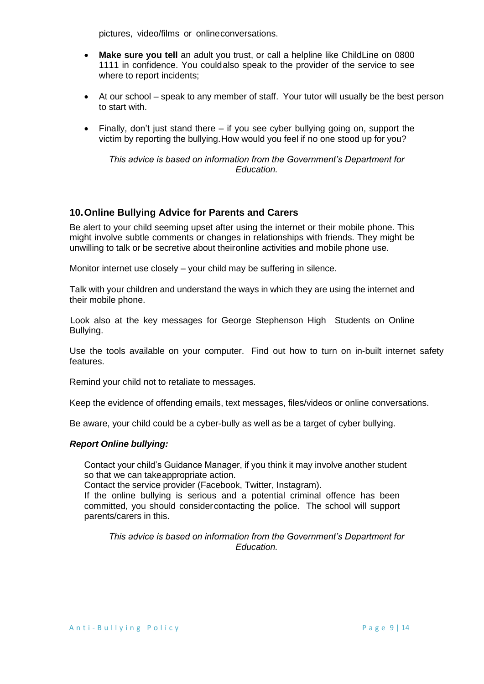pictures, video/films or onlineconversations.

- **Make sure you tell** an adult you trust, or call a helpline like ChildLine on 0800 1111 in confidence. You couldalso speak to the provider of the service to see where to report incidents;
- At our school speak to any member of staff. Your tutor will usually be the best person to start with.
- Finally, don't just stand there if you see cyber bullying going on, support the victim by reporting the bullying.How would you feel if no one stood up for you?

*This advice is based on information from the Government's Department for Education.*

# **10.Online Bullying Advice for Parents and Carers**

Be alert to your child seeming upset after using the internet or their mobile phone. This might involve subtle comments or changes in relationships with friends. They might be unwilling to talk or be secretive about theironline activities and mobile phone use.

Monitor internet use closely – your child may be suffering in silence.

Talk with your children and understand the ways in which they are using the internet and their mobile phone.

Look also at the key messages for George Stephenson High Students on Online Bullying.

Use the tools available on your computer. Find out how to turn on in-built internet safety features.

Remind your child not to retaliate to messages.

Keep the evidence of offending emails, text messages, files/videos or online conversations.

Be aware, your child could be a cyber-bully as well as be a target of cyber bullying.

#### *Report Online bullying:*

Contact your child's Guidance Manager, if you think it may involve another student so that we can takeappropriate action.

Contact the service provider (Facebook, Twitter, Instagram).

If the online bullying is serious and a potential criminal offence has been committed, you should considercontacting the police. The school will support parents/carers in this.

*This advice is based on information from the Government's Department for Education.*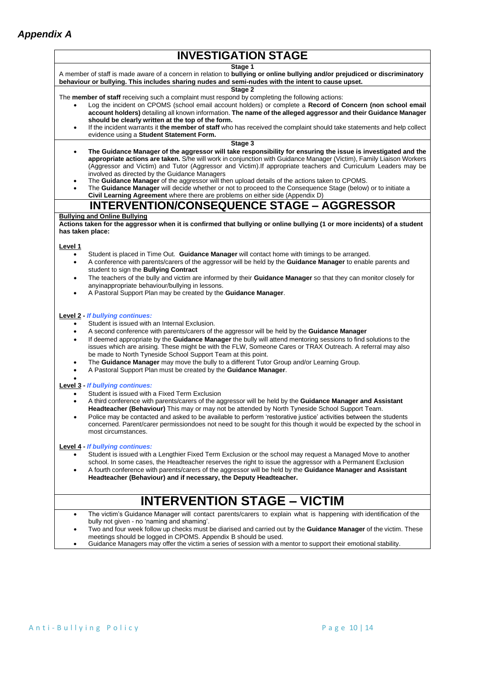| <b>INVESTIGATION STAGE</b>                                                                                                                                                                                                                                                                                                                                                                                                                                                                                                                                                                                                                                                                      |  |  |
|-------------------------------------------------------------------------------------------------------------------------------------------------------------------------------------------------------------------------------------------------------------------------------------------------------------------------------------------------------------------------------------------------------------------------------------------------------------------------------------------------------------------------------------------------------------------------------------------------------------------------------------------------------------------------------------------------|--|--|
| Stage 1<br>A member of staff is made aware of a concern in relation to <b>bullying or online bullying and/or prejudiced or discriminatory</b><br>behaviour or bullying. This includes sharing nudes and semi-nudes with the intent to cause upset.                                                                                                                                                                                                                                                                                                                                                                                                                                              |  |  |
| Stage 2<br>The member of staff receiving such a complaint must respond by completing the following actions:<br>Log the incident on CPOMS (school email account holders) or complete a Record of Concern (non school email<br>account holders) detailing all known information. The name of the alleged aggressor and their Guidance Manager<br>should be clearly written at the top of the form.<br>If the incident warrants it the member of staff who has received the complaint should take statements and help collect<br>$\bullet$<br>evidence using a Student Statement Form.                                                                                                             |  |  |
| Stage 3<br>The Guidance Manager of the aggressor will take responsibility for ensuring the issue is investigated and the<br>٠<br>appropriate actions are taken. S/he will work in conjunction with Guidance Manager (Victim), Family Liaison Workers<br>(Aggressor and Victim) and Tutor (Aggressor and Victim). If appropriate teachers and Curriculum Leaders may be<br>involved as directed by the Guidance Managers                                                                                                                                                                                                                                                                         |  |  |
| The Guidance Manager of the aggressor will then upload details of the actions taken to CPOMS.<br>٠<br>The Guidance Manager will decide whether or not to proceed to the Consequence Stage (below) or to initiate a<br>$\bullet$<br>Civil Learning Agreement where there are problems on either side (Appendix D)                                                                                                                                                                                                                                                                                                                                                                                |  |  |
| <b>INTERVENTION/CONSEQUENCE STAGE - AGGRESSOR</b>                                                                                                                                                                                                                                                                                                                                                                                                                                                                                                                                                                                                                                               |  |  |
| <b>Bullying and Online Bullying</b><br>Actions taken for the aggressor when it is confirmed that bullying or online bullying (1 or more incidents) of a student<br>has taken place:                                                                                                                                                                                                                                                                                                                                                                                                                                                                                                             |  |  |
| Level 1<br>Student is placed in Time Out. Guidance Manager will contact home with timings to be arranged.<br>$\bullet$<br>A conference with parents/carers of the aggressor will be held by the <b>Guidance Manager</b> to enable parents and<br>$\bullet$<br>student to sign the Bullying Contract<br>The teachers of the bully and victim are informed by their Guidance Manager so that they can monitor closely for<br>٠<br>anyinappropriate behaviour/bullying in lessons.<br>A Pastoral Support Plan may be created by the Guidance Manager.<br>$\bullet$                                                                                                                                 |  |  |
| <b>Level 2 - If bullying continues:</b><br>Student is issued with an Internal Exclusion.<br>A second conference with parents/carers of the aggressor will be held by the Guidance Manager<br>$\bullet$<br>If deemed appropriate by the Guidance Manager the bully will attend mentoring sessions to find solutions to the<br>$\bullet$<br>issues which are arising. These might be with the FLW, Someone Cares or TRAX Outreach. A referral may also<br>be made to North Tyneside School Support Team at this point.<br>The Guidance Manager may move the bully to a different Tutor Group and/or Learning Group.<br>٠<br>A Pastoral Support Plan must be created by the Guidance Manager.<br>٠ |  |  |
| <b>Level 3 - If bullying continues:</b><br>Student is issued with a Fixed Term Exclusion<br>A third conference with parents/carers of the aggressor will be held by the Guidance Manager and Assistant<br>$\bullet$<br><b>Headteacher (Behaviour)</b> This may or may not be attended by North Tyneside School Support Team.<br>Police may be contacted and asked to be available to perform 'restorative justice' activities between the students<br>concerned. Parent/carer permissiondoes not need to be sought for this though it would be expected by the school in<br>most circumstances.                                                                                                 |  |  |
| Level 4 - If bullying continues:<br>Student is issued with a Lengthier Fixed Term Exclusion or the school may request a Managed Move to another<br>school. In some cases, the Headteacher reserves the right to issue the aggressor with a Permanent Exclusion<br>A fourth conference with parents/carers of the aggressor will be held by the Guidance Manager and Assistant<br>$\bullet$<br>Headteacher (Behaviour) and if necessary, the Deputy Headteacher.                                                                                                                                                                                                                                 |  |  |
| <b>INTERVENTION STAGE - VICTIM</b>                                                                                                                                                                                                                                                                                                                                                                                                                                                                                                                                                                                                                                                              |  |  |
| The victim's Guidance Manager will contact parents/carers to explain what is happening with identification of the<br>bully not given - no 'naming and shaming'.<br>Two and four week follow up checks must be diarised and carried out by the <b>Guidance Manager</b> of the victim. These<br>meetings should be logged in CPOMS. Appendix B should be used.                                                                                                                                                                                                                                                                                                                                    |  |  |

• Guidance Managers may offer the victim a series of session with a mentor to support their emotional stability.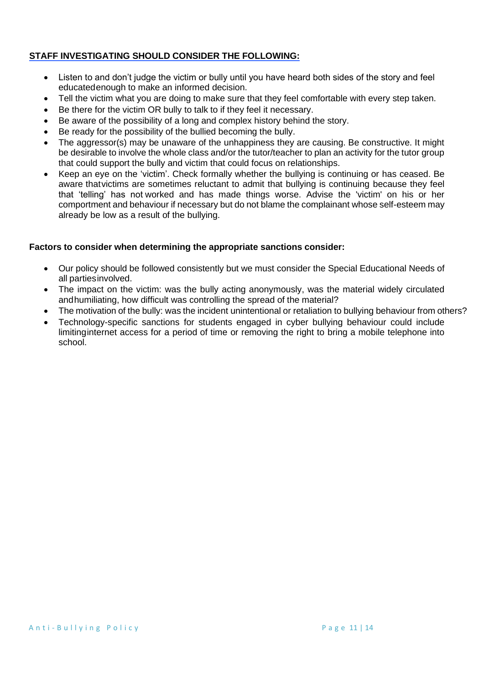# **STAFF INVESTIGATING SHOULD CONSIDER THE FOLLOWING:**

- Listen to and don't judge the victim or bully until you have heard both sides of the story and feel educatedenough to make an informed decision.
- Tell the victim what you are doing to make sure that they feel comfortable with every step taken.
- Be there for the victim OR bully to talk to if they feel it necessary.
- Be aware of the possibility of a long and complex history behind the story.
- Be ready for the possibility of the bullied becoming the bully.
- The aggressor(s) may be unaware of the unhappiness they are causing. Be constructive. It might be desirable to involve the whole class and/or the tutor/teacher to plan an activity for the tutor group that could support the bully and victim that could focus on relationships.
- Keep an eye on the 'victim'. Check formally whether the bullying is continuing or has ceased. Be aware thatvictims are sometimes reluctant to admit that bullying is continuing because they feel that 'telling' has not worked and has made things worse. Advise the 'victim' on his or her comportment and behaviour if necessary but do not blame the complainant whose self-esteem may already be low as a result of the bullying.

### **Factors to consider when determining the appropriate sanctions consider:**

- Our policy should be followed consistently but we must consider the Special Educational Needs of all partiesinvolved.
- The impact on the victim: was the bully acting anonymously, was the material widely circulated andhumiliating, how difficult was controlling the spread of the material?
- The motivation of the bully: was the incident unintentional or retaliation to bullying behaviour from others?
- Technology-specific sanctions for students engaged in cyber bullying behaviour could include limitinginternet access for a period of time or removing the right to bring a mobile telephone into school.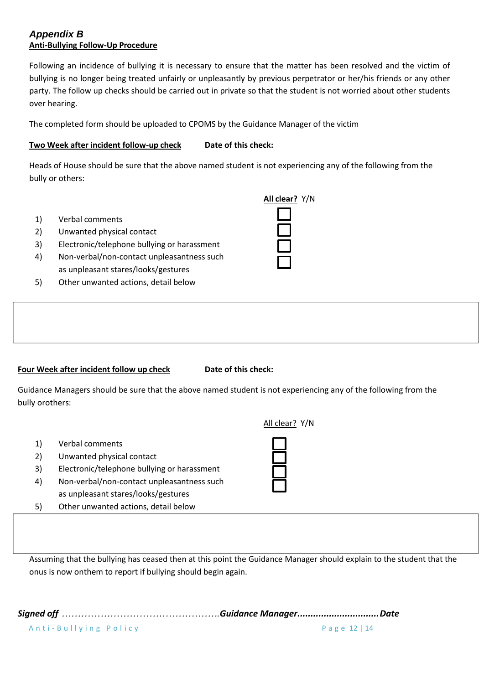# *Appendix B* **Anti-Bullying Follow-Up Procedure**

Following an incidence of bullying it is necessary to ensure that the matter has been resolved and the victim of bullying is no longer being treated unfairly or unpleasantly by previous perpetrator or her/his friends or any other party. The follow up checks should be carried out in private so that the student is not worried about other students over hearing.

The completed form should be uploaded to CPOMS by the Guidance Manager of the victim

# **Two Week after incident follow-up check** Date of this check:

Heads of House should be sure that the above named student is not experiencing any of the following from the bully or others:

- 1) Verbal comments
- 2) Unwanted physical contact
- 3) Electronic/telephone bullying or harassment
- 4) Non-verbal/non-contact unpleasantness such as unpleasant stares/looks/gestures
- 5) Other unwanted actions, detail below

| All clear? Y/N |  |
|----------------|--|
|                |  |
|                |  |

### **Four** Week after incident follow up check **Date of this check:**

Guidance Managers should be sure that the above named student is not experiencing any of the following from the bully orothers:

- 1) Verbal comments
- 2) Unwanted physical contact
- 3) Electronic/telephone bullying or harassment
- 4) Non-verbal/non-contact unpleasantness such as unpleasant stares/looks/gestures
- 5) Other unwanted actions, detail below



Assuming that the bullying has ceased then at this point the Guidance Manager should explain to the student that the onus is now onthem to report if bullying should begin again.

A n t i - Bullying Policy extends the page 12 | 14 *Signed off ………………………………………….Guidance Manager...............................Date*

All clear? Y/N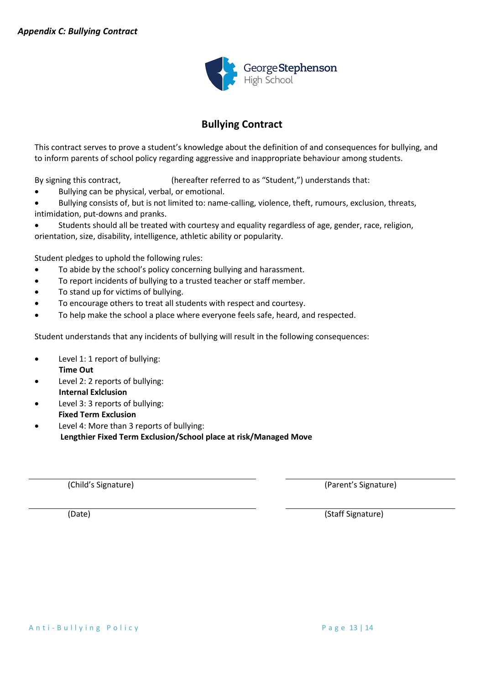

# **Bullying Contract**

This contract serves to prove a student's knowledge about the definition of and consequences for bullying, and to inform parents of school policy regarding aggressive and inappropriate behaviour among students.

By signing this contract,  $\qquad \qquad$  (hereafter referred to as "Student,") understands that:

• Bullying can be physical, verbal, or emotional.

Bullying consists of, but is not limited to: name-calling, violence, theft, rumours, exclusion, threats, intimidation, put-downs and pranks.

• Students should all be treated with courtesy and equality regardless of age, gender, race, religion, orientation, size, disability, intelligence, athletic ability or popularity.

Student pledges to uphold the following rules:

- To abide by the school's policy concerning bullying and harassment.
- To report incidents of bullying to a trusted teacher or staff member.
- To stand up for victims of bullying.
- To encourage others to treat all students with respect and courtesy.
- To help make the school a place where everyone feels safe, heard, and respected.

Student understands that any incidents of bullying will result in the following consequences:

- Level 1: 1 report of bullying:  **Time Out**
- Level 2: 2 reports of bullying:  **Internal Exlclusion**
- Level 3: 3 reports of bullying:  **Fixed Term Exclusion**

Level 4: More than 3 reports of bullying:  **Lengthier Fixed Term Exclusion/School place at risk/Managed Move**

(Child's Signature) (Parent's Signature)

(Date) (Staff Signature)